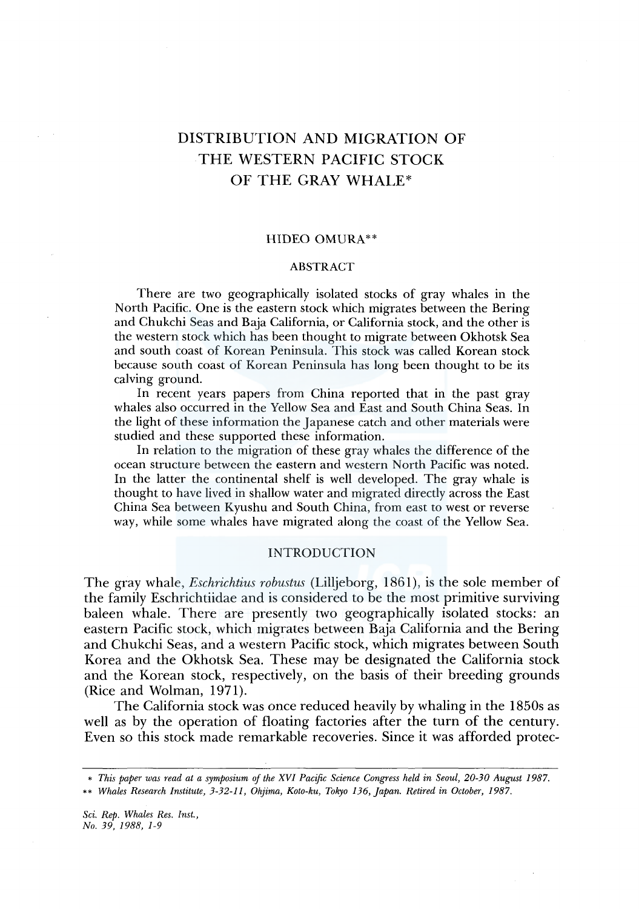# DISTRIBUTION AND MIGRATION OF THE WESTERN PACIFIC STOCK OF THE GRAY WHALE\*

## HIDEO OMURA\*\*

## ABSTRACT

There are two geographically isolated stocks of gray whales in the North Pacific. One is the eastern stock which migrates between the Bering and Chukchi Seas and Baja California, or California stock, and the other is the western stock which has been thought to migrate between Okhotsk Sea and south coast of Korean Peninsula. This stock was called Korean stock because south coast of Korean Peninsula has long been thought to be its calving ground.

In recent years papers from China reported that in the past gray whales also occurred in the Yellow Sea and East and South China Seas. In the light of these information the Japanese catch and other materials were studied and these supported these information.

In relation to the migration of these gray whales the difference of the ocean structure between the eastern and western North Pacific was noted. In the latter the continental shelf is well developed. The gray whale is thought to have lived in shallow water and migrated directly across the East China Sea between Kyushu and South China, from east to west or reverse way, while some whales have migrated along the coast of the Yellow Sea.

## INTRODUCTION

The gray whale, *Eschrichtius robustus* (Lilljeborg, 1861), is the sole member of the family Eschrichtiidae and is considered to be the most primitive surviving baleen whale. There are presently two geographically isolated stocks: an eastern Pacific stock, which migrates between Baja California and the Bering and Chukchi Seas, and a western Pacific stock, which migrates between South Korea and the Okhotsk Sea. These may be designated the California stock and the Korean stock, respectively, on the basis of their breeding grounds (Rice and Wolman, 1971).

The California stock was once reduced heavily by whaling in the 1850s as well as by the operation of floating factories after the turn of the century. Even so this stock made remarkable recoveries. Since it was afforded protec-

<sup>•</sup> *This paper was read at a symposium of the XVI Pacific Science Congress held in Seoul, 20-30 August I987.* 

<sup>••</sup> *Whales Research Institute, 3-32-11, Ohjima, Koto-ku, Tokyo 136, Japan. Retired in October, 1987.*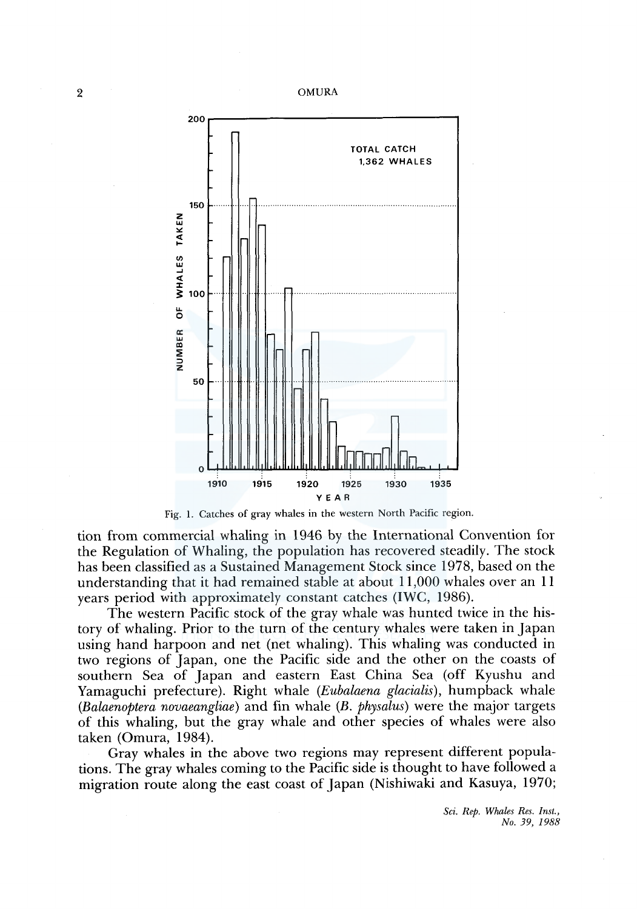





tion from commercial whaling in 1946 by the International Convention for the Regulation of Whaling, the population has recovered steadily. The stock has been classified as a Sustained Management Stock since 1978, based on the understanding that it had remained stable at about 11,000 whales over an 11 years period with approximately constant catches (IWC, 1986).

The western Pacific stock of the gray whale was hunted twice in the history of whaling. Prior to the turn of the century whales were taken in Japan using hand harpoon and net (net whaling). This whaling was conducted in two regions of Japan, one the Pacific side and the other on the coasts of southern Sea of Japan and eastern East China Sea (off Kyushu and Yamaguchi prefecture). Right whale *(Eubalaena glacialis),* humpback whale *(Bal,aenoptera novaeangliae)* and fin whale *(B. physalus)* were the major targets of this whaling, but the gray whale and other species of whales were also taken (Omura, 1984).

Gray whales in the above two regions may represent different populations. The gray whales coming to the Pacific side is thought to have followed a migration route along the east coast of Japan (Nishiwaki and Kasuya, 1970;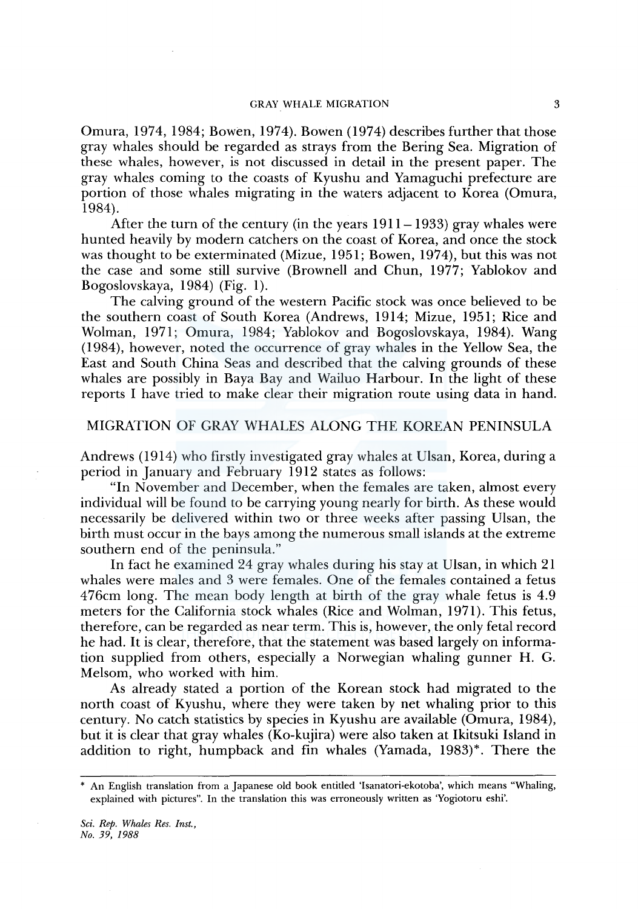#### GRAY WHALE MIGRATION 3

Omura, 1974, 1984; Bowen, 1974). Bowen (1974) describes further that those gray whales should be regarded as strays from the Bering Sea. Migration of these whales, however, is not discussed in detail in the present paper. The gray whales coming to the coasts of Kyushu and Yamaguchi prefecture are portion of those whales migrating in the waters adjacent to Korea (Omura, 1984).

After the turn of the century (in the years  $1911 - 1933$ ) gray whales were hunted heavily by modern catchers on the coast of Korea, and once the stock was thought to be exterminated (Mizue, 1951; Bowen, 1974), but this was not the case and some still survive (Brownell and Chun, 1977; Yablokov and Bogoslovskaya, 1984) (Fig. 1).

The calving ground of the western Pacific stock was once believed to be the southern coast of South Korea (Andrews, 1914; Mizue, 1951; Rice and Wolman, 1971; Omura, 1984; Yablokov and Bogoslovskaya, 1984). Wang (1984), however, noted the occurrence of gray whales in the Yellow Sea, the East and South China Seas and described that the calving grounds of these whales are possibly in Baya Bay and Wailuo Harbour. In the light of these reports I have tried to make clear their migration route using data in hand.

# MIGRATION OF GRAY WHALES ALONG THE KOREAN PENINSULA

Andrews (1914) who firstly investigated gray whales at Ulsan, Korea, during a period in January and February 1912 states as follows:

"In November and December, when the females are taken, almost every individual will be found to be carrying young nearly for birth. As these would necessarily be delivered within two or three weeks after passing Ulsan, the birth must occur in the bays among the numerous small islands at the extreme southern end of the peninsula."

In fact he examined 24 gray whales during his stay at Ulsan, in which 21 whales were males and 3 were females. One of the females contained a fetus 476cm long. The mean body length at birth of the gray whale fetus is 4.9 meters for the California stock whales (Rice and Wolman, 1971). This fetus, therefore, can be regarded as near term. This is, however, the only fetal record he had. It is clear, therefore, that the statement was based largely on information supplied from others, especially a Norwegian whaling gunner H. G. Melsom, who worked with him.

As already stated a portion of the Korean stock had migrated to the north coast of Kyushu, where they were taken by net whaling prior to this century. No catch statistics by species in Kyushu are available (Omura, 1984), but it is clear that gray whales (Ko-kujira) were also taken at Ikitsuki Island in addition to right, humpback and fin whales (Yamada, 1983)\*. There the

<sup>\*</sup> An English translation from a Japanese old book entitled 'Isanatori-ekotoba', which means "Whaling, explained with pictures". In the translation this was erroneously written as 'Yogiotoru eshi'.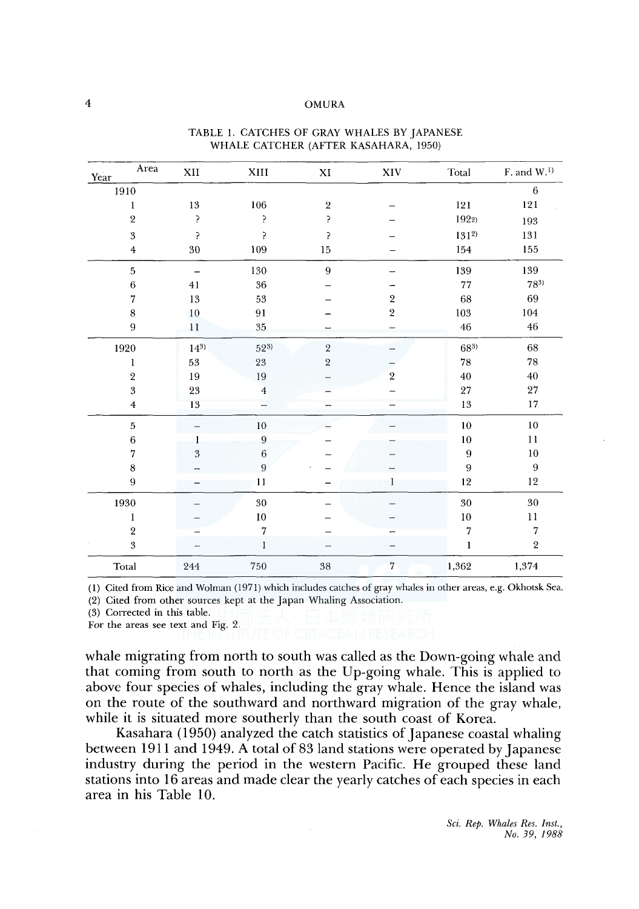## 4 OMURA

| Area<br>Year     | $\mathbf{X}\mathbf{H}$ | ${\rm XIII}$     | $\mathbf{X}\mathbf{I}$ | $\ensuremath{\text{XIV}}$ | Total        | $F$ , and $W$ . <sup>1)</sup> |
|------------------|------------------------|------------------|------------------------|---------------------------|--------------|-------------------------------|
| 1910             |                        |                  |                        |                           |              | $\,6\,$                       |
| 1                | $13\,$                 | $106\,$          | $\sqrt{2}$             |                           | 121          | 121                           |
| $\,2\,$          | ʻ.                     | 5                | 5                      |                           | 1922)        | 193                           |
| $\sqrt{3}$       | þ,                     | 5.               | 5                      |                           | $131^{2}$    | 131                           |
| $\overline{4}$   | 30                     | 109              | $15\,$                 |                           | 154          | 155                           |
| $\,$ 5           | -                      | $130\,$          | $\boldsymbol{9}$       |                           | 139          | 139                           |
| $\boldsymbol{6}$ | 41                     | $36\,$           |                        |                           | 77           | $78^{3}$                      |
| 7                | $13\,$                 | 53               |                        | $\sqrt{2}$                | 68           | 69                            |
| 8                | $10\,$                 | 91               |                        | $\,2\,$                   | $\bf 103$    | 104                           |
| 9                | 11                     | 35               |                        |                           | 46           | 46                            |
| 1920             | $14^{3}$               | $52^{3}$         | $\,2$                  |                           | $68^{3}$     | 68                            |
| $\mathbf{l}$     | $53\,$                 | $23\,$           | $\sqrt{2}$             |                           | ${\bf 78}$   | 78                            |
| $\sqrt{2}$       | 19                     | 19               |                        | $\overline{2}$            | 40           | 40                            |
| $\sqrt{3}$       | 23                     | $\overline{4}$   |                        |                           | 27           | $\sqrt{27}$                   |
| $\overline{4}$   | 13                     |                  |                        |                           | 13           | 17                            |
| $\,$ 5           |                        | $10\,$           |                        |                           | $10\,$       | $10\,$                        |
| $\,6\,$          | 1                      | $\boldsymbol{9}$ |                        |                           | 10           | 11                            |
| $\overline{7}$   | $\sqrt{3}$             | $\,6\,$          |                        |                           | 9            | 10                            |
| $\,$ 8 $\,$      |                        | $\overline{9}$   |                        |                           | 9            | $\boldsymbol{9}$              |
| $\boldsymbol{9}$ |                        | 11               |                        | 1                         | $12\,$       | $12\,$                        |
| 1930             |                        | $30\,$           |                        |                           | $30\,$       | $30\,$                        |
| $\mathbf{1}$     |                        | $10\,$           |                        |                           | 10           | $1\,1$                        |
| $\,2\,$          |                        | $\overline{7}$   |                        |                           | 7            | $\scriptstyle\rm 7$           |
| 3                |                        | $\mathbf{1}$     |                        |                           | $\mathbf{l}$ | $\sqrt{2}$                    |
| Total            | 244                    | $750\,$          | $38\,$                 | $\scriptstyle\rm 7$       | 1,362        | 1,374                         |

#### TABLE !. CATCHES OF GRAY WHALES BY JAPANESE WHALE CATCHER (AFTER KASAHARA, 1950)

(I) Cited from Rice and Wolman (1971) which includes catches of gray whales in other areas, e.g. Okhotsk Sea.

(2) Cited from other sources kept at the Japan Whaling Association.

(3) Corrected in this table.

For the areas see text and Fig. 2.

whale migrating from north to south was called as the Down-going whale and that coming from south to north as the Up-going whale. This is applied to above four species of whales, including the gray whale. Hence the island was on the route of the southward and northward migration of the gray whale, while it is situated more southerly than the south coast of Korea.

Kasahara (1950) analyzed the catch statistics of Japanese coastal whaling between 1911 and 1949. A total of 83 land stations were operated by Japanese industry during the period in the western Pacific. He grouped these land stations into 16 areas and made clear the yearly catches of each species in each area in his Table 10.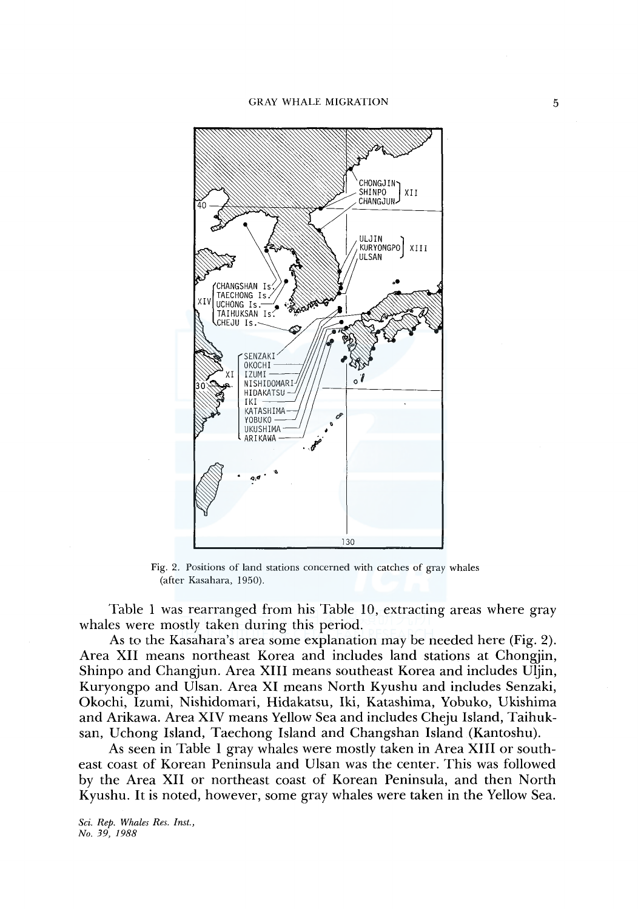

Fig. 2. Positions of land stations concerned with catches of gray whales (after Kasahara, 1950).

Table 1 was rearranged from his Table 10, extracting areas where gray whales were mostly taken during this period.

As to the Kasahara's area some explanation may be needed here (Fig. 2). Area XII means northeast Korea and includes land stations at Chongjin, Shinpo and Changjun. Area XIII means southeast Korea and includes Uljin, Kuryongpo and Ulsan. Area XI means North Kyushu and includes Senzaki, Okochi, Izumi, Nishidomari, Hidakatsu, Iki, Katashima, Yobuko, Ukishima and Arikawa. Area XIV means Yellow Sea and includes Cheju Island, Taihuksan, Uchong Island, Taechong Island and Changshan Island (Kantoshu).

As seen in Table 1 gray whales were mostly taken in Area XIII or southeast coast of Korean Peninsula and Ulsan was the center. This was followed by the Area XII or northeast coast of Korean Peninsula, and then North Kyushu. It is noted, however, some gray whales were taken in the Yellow Sea.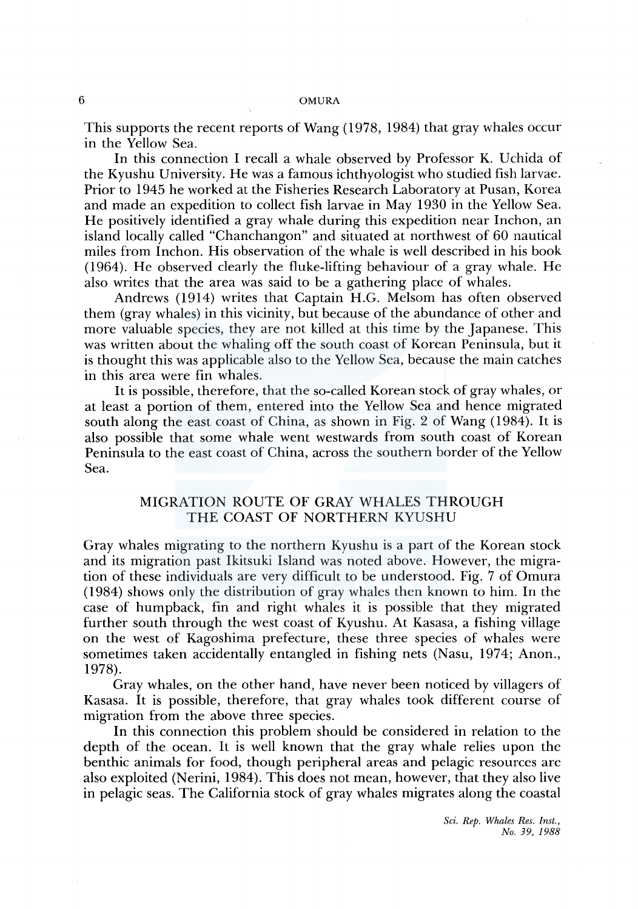This supports the recent reports of Wang ( 1978, 1984) that gray whales occur in the Yellow Sea.

In this connection I recall a whale observed by Professor K. Uchida of the Kyushu University. He was a famous ichthyologist who studied fish larvae. Prior to 1945 he worked at the Fisheries Research Laboratory at Pusan, Korea and made an expedition to collect fish larvae in May 1930 in the Yellow Sea. He positively identified a gray whale during this expedition near Inchon, an island locally called "Chanchangon" and situated at northwest of 60 nautical miles from Inchon. His observation of the whale is well described in his book (1964). He observed clearly the fluke-lifting behaviour of a gray whale. He also writes that the area was said to be a gathering place of whales.

Andrews (1914) writes that Captain H.G. Melsom has often observed them (gray whales) in this vicinity, but because of the abundance of other and more valuable species, they are not killed at this time by the Japanese. This was written about the whaling off the south coast of Korean Peninsula, but it is thought this was applicable also to the Yellow Sea, because the main catches in this area were fin whales.

It is possible, therefore, that the so-called Korean stock of gray whales, or at least a portion of them, entered into the Yellow Sea and hence migrated south along the east coast of China, as shown in Fig. 2 of Wang (1984). It is also possible that some whale went westwards from south coast of Korean Peninsula to the east coast of China, across the southern border of the Yellow Sea.

# MIGRATION ROUTE OF GRAY WHALES THROUGH THE COAST OF NORTHERN KYUSHU

Gray whales migrating to the northern Kyushu is a part of the Korean stock and its migration past Ikitsuki Island was noted above. However, the migration of these individuals are very difficult to be understood. Fig. 7 of Omura ( 1984) shows only the distribution of gray whales then known to him. In the case of humpback, fin and right whales it is possible that they migrated further south through the west coast of Kyushu. At Kasasa, a fishing village on the west of Kagoshima prefecture, these three species of whales were sometimes taken accidentally entangled in fishing nets (Nasu, 1974; Anon., 1978).

Gray whales, on the other hand, have never been noticed by villagers of Kasasa. It is possible, therefore, that gray whales took different course of migration from the above three species.

In this connection this problem should be considered in relation to the depth of the ocean. It is well known that the gray whale relies upon the benthic animals for food, though peripheral areas and pelagic resources are also exploited (Nerini, 1984). This does not mean, however, that they also live in pelagic seas. The California stock of gray whales migrates along the coastal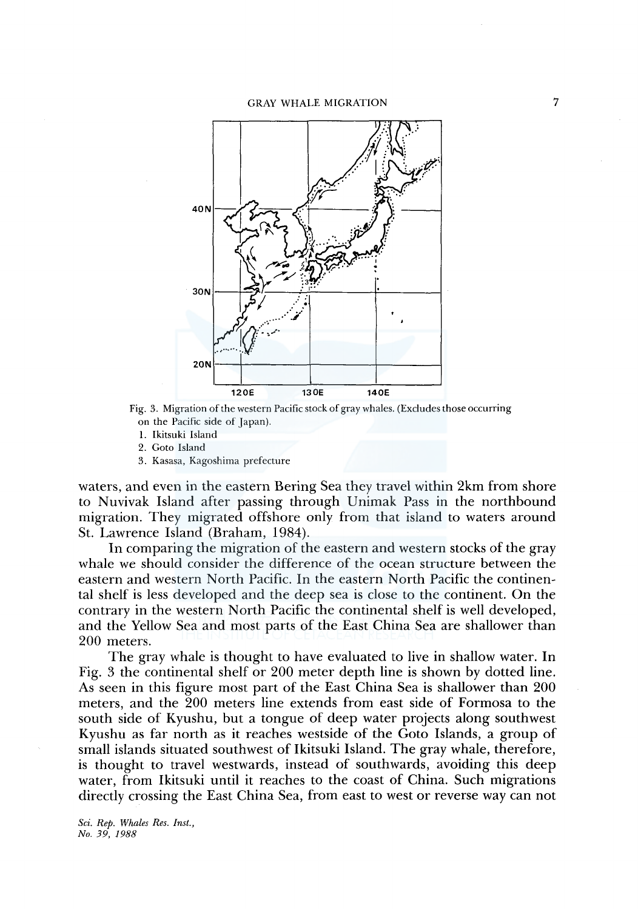

Fig. 3. Migration of the western Pacific stock of gray whales. (Excludes those occurring on the Pacific side of Japan).

1. Ikitsuki Island

2. Goto Island

3. Kasasa, Kagoshima prefecture

waters, and even in the eastern Bering Sea they travel within 2km from shore to Nuvivak Island after passing through Unimak Pass in the northbound migration. They migrated offshore only from that island to waters around St. Lawrence Island (Braham, 1984).

In comparing the migration of the eastern and western stocks of the gray whale we should consider the difference of the ocean structure between the eastern and western North Pacific. In the eastern North Pacific the continental shelf is less developed and the deep sea is close to the continent. On the contrary in the western North Pacific the continental shelf is well developed, and the Yellow Sea and most parts of the East China Sea are shallower than 200 meters.

The gray whale is thought to have evaluated to live in shallow water. In Fig. 3 the continental shelf or 200 meter depth line is shown by dotted line. As seen in this figure most part of the East China Sea is shallower than 200 meters, and the 200 meters line extends from east side of Formosa to the south side of Kyushu, but a tongue of deep water projects along southwest Kyushu as far north as it reaches westside of the Goto Islands, a group of small islands situated southwest of Ikitsuki Island. The gray whale, therefore, is thought to travel westwards, instead of southwards, avoiding this deep water, from Ikitsuki until it reaches to the coast of China. Such migrations directly crossing the East China Sea, from east to west or reverse way can not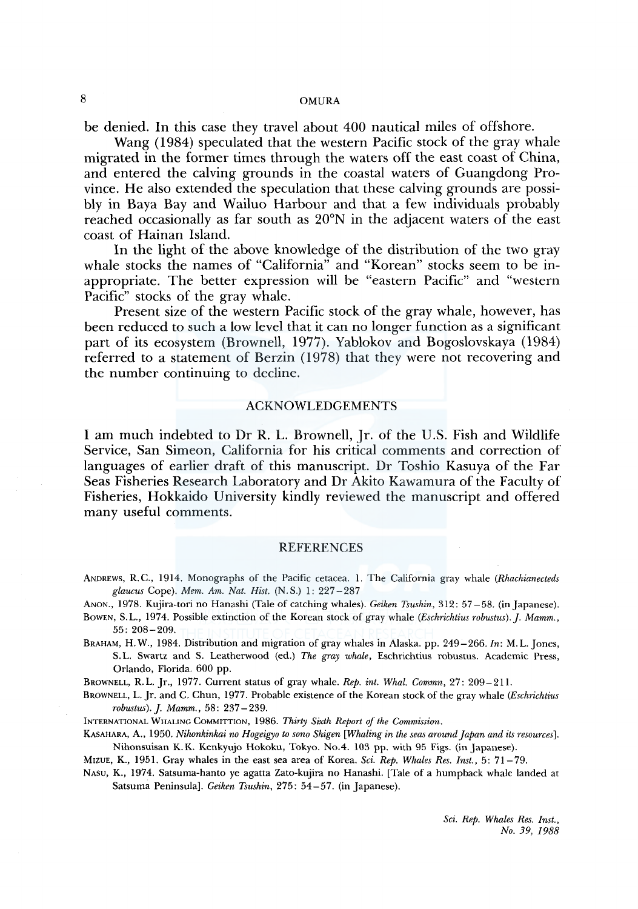# 8 OMURA

be denied. In this case they travel about 400 nautical miles of offshore.

Wang (1984) speculated that the western Pacific stock of the gray whale migrated in the former times through the waters off the east coast of China, and entered the calving grounds in the coastal waters of Guangdong Province. He also extended the speculation that these calving grounds are possibly in Baya Bay and Wailuo Harbour and that a few individuals probably reached occasionally as far south as 20°N in the adjacent waters of the east coast of Hainan Island.

In the light of the above knowledge of the distribution of the two gray whale stocks the names of "California" and "Korean" stocks seem to be inappropriate. The better expression will be "eastern Pacific" and "western Pacific" stocks of the gray whale.

Present size of the western Pacific stock of the gray whale, however, has been reduced to such a low level that it can no longer function as a significant part of its ecosystem (Brownell, 1977). Yablokov and Bogoslovskaya (1984) referred to a statement of Berzin ( 1978) that they were not recovering and the number continuing to decline.

### ACKNOWLEDGEMENTS

I am much indebted to Dr R. L. Brownell, Jr. of the U.S. Fish and Wildlife Service, San Simeon, California for his critical comments and correction of languages of earlier draft of this manuscript. Dr Toshio Kasuya of the Far Seas Fisheries Research Laboratory and Dr Akito Kawamura of the Faculty of Fisheries, Hokkaido University kindly reviewed the manuscript and offered many useful comments.

### REFERENCES

- ANDREWS, R. C., 1914. Monographs of the Pacific cetacea. 1. The California gray whale *(Rhachianecteds glaucus* Cope). *Mem. Am. Nat. Hist.* (N.S.) 1: 227-287
- ANON., 1978. Kujira-tori no Hanashi (Tale of catching whales). *Geiken Tsushin,* 312: 57-58. (in Japanese).
- BowEN, S. L., 1974. Possible extinction of the Korean stock of gray whale *(Eschrichtius robustus).]. Mamm.,*  55: 208-209.
- BRAHAM, H. W., 1984. Distribution and migration of gray whales in Alaska. pp. 249-266. *In:* M.L. Jones, S. L. Swartz and S. Leatherwood (ed.) *The gray whale,* Eschrichtius robustus. Academic Press, Orlando, Florida. 600 pp.

BROWNELL, R.L. Jr., 1977. Current status of gray whale. *Rep. int. Whal. Commn,* 27: 209-211.

BROWNELL, L. Jr. and C. Chun, 1977. Probable existence of the Korean stock of the gray whale *(Eschrichtius robustus).j. Mamm.,* 58: 237-239.

INTERNATIONAL WHALING COMMITTION, 1986. *Thirty Sixth Report of the Commission.* 

KASAHARA, A., 1950. *Nihonkinkai no Hogeigyo to sono Shigen [Whaling in the seas around Japan and its resources].*  Nihonsuisan K. K. Kenkyujo Hokoku, Tokyo. No.4. 103 pp. with 95 Figs. (in Japanese).

MIZUE, K., 1951. Gray whales in the east sea area of Korea. *Sci. Rep. Whales Res. Inst.,* 5: 71-79.

NASU, K., 1974. Satsuma-hanto ye agatta Zato-kujira no Hanashi. [Tale of a humpback whale landed at Satsuma Peninsula]. *Geiken Tsushin,* 275: 54-57. (in Japanese).